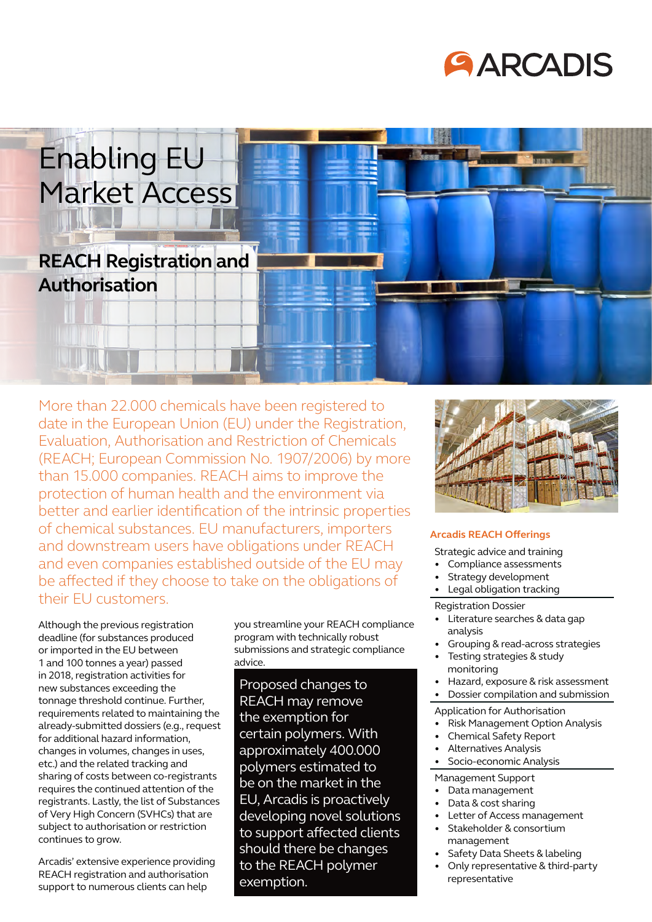# **GARCADIS**

# Enabling EU Market Access

# **REACH Registration and Authorisation**

More than 22.000 chemicals have been registered to date in the European Union (EU) under the Registration, Evaluation, Authorisation and Restriction of Chemicals (REACH; European Commission No. 1907/2006) by more than 15.000 companies. REACH aims to improve the protection of human health and the environment via better and earlier identification of the intrinsic properties of chemical substances. EU manufacturers, importers and downstream users have obligations under REACH and even companies established outside of the EU may be affected if they choose to take on the obligations of their EU customers.

Although the previous registration deadline (for substances produced or imported in the EU between 1 and 100 tonnes a year) passed in 2018, registration activities for new substances exceeding the tonnage threshold continue. Further, requirements related to maintaining the already-submitted dossiers (e.g., request for additional hazard information, changes in volumes, changes in uses, etc.) and the related tracking and sharing of costs between co-registrants requires the continued attention of the registrants. Lastly, the list of Substances of Very High Concern (SVHCs) that are subject to authorisation or restriction continues to grow.

Arcadis' extensive experience providing REACH registration and authorisation support to numerous clients can help

you streamline your REACH compliance program with technically robust submissions and strategic compliance advice.

Proposed changes to REACH may remove the exemption for certain polymers. With approximately 400.000 polymers estimated to be on the market in the EU, Arcadis is proactively developing novel solutions to support affected clients should there be changes to the REACH polymer exemption.



### **Arcadis REACH Offerings**

Strategic advice and training

- Compliance assessments
- Strategy development
- Legal obligation tracking

#### Registration Dossier

- Literature searches & data gap analysis
- Grouping & read-across strategies
- Testing strategies & study monitoring
- Hazard, exposure & risk assessment
- Dossier compilation and submission
- Application for Authorisation
- Risk Management Option Analysis
- Chemical Safety Report
- Alternatives Analysis
- Socio-economic Analysis

#### Management Support

- Data management
- Data & cost sharing
- Letter of Access management
- Stakeholder & consortium management
- Safety Data Sheets & labeling
- Only representative & third-party representative